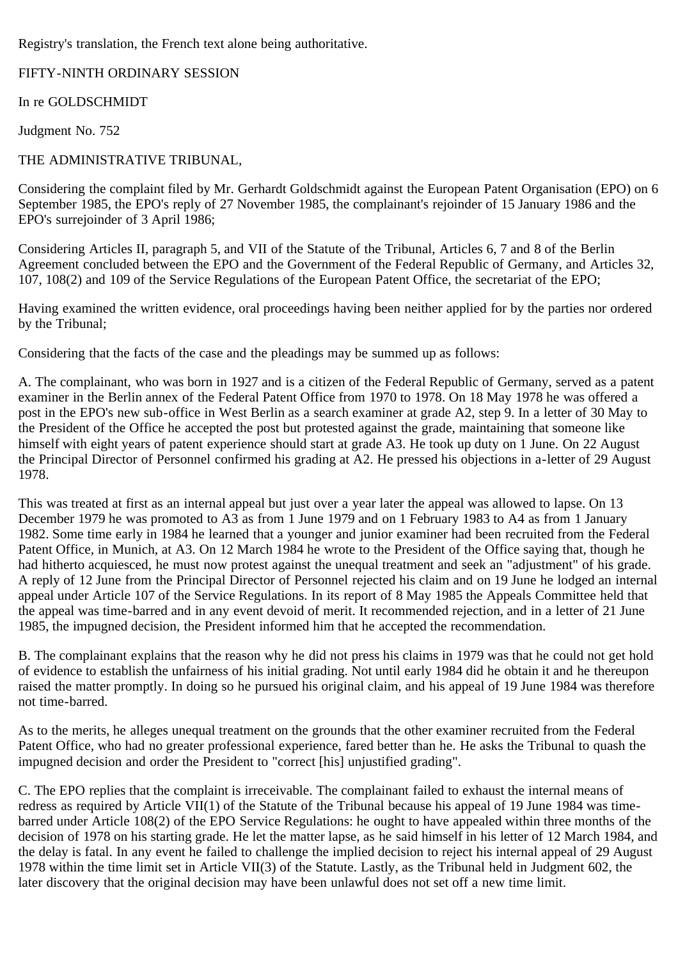Registry's translation, the French text alone being authoritative.

FIFTY-NINTH ORDINARY SESSION

# In re GOLDSCHMIDT

Judgment No. 752

# THE ADMINISTRATIVE TRIBUNAL,

Considering the complaint filed by Mr. Gerhardt Goldschmidt against the European Patent Organisation (EPO) on 6 September 1985, the EPO's reply of 27 November 1985, the complainant's rejoinder of 15 January 1986 and the EPO's surrejoinder of 3 April 1986;

Considering Articles II, paragraph 5, and VII of the Statute of the Tribunal, Articles 6, 7 and 8 of the Berlin Agreement concluded between the EPO and the Government of the Federal Republic of Germany, and Articles 32, 107, 108(2) and 109 of the Service Regulations of the European Patent Office, the secretariat of the EPO;

Having examined the written evidence, oral proceedings having been neither applied for by the parties nor ordered by the Tribunal;

Considering that the facts of the case and the pleadings may be summed up as follows:

A. The complainant, who was born in 1927 and is a citizen of the Federal Republic of Germany, served as a patent examiner in the Berlin annex of the Federal Patent Office from 1970 to 1978. On 18 May 1978 he was offered a post in the EPO's new sub-office in West Berlin as a search examiner at grade A2, step 9. In a letter of 30 May to the President of the Office he accepted the post but protested against the grade, maintaining that someone like himself with eight years of patent experience should start at grade A3. He took up duty on 1 June. On 22 August the Principal Director of Personnel confirmed his grading at A2. He pressed his objections in a-letter of 29 August 1978.

This was treated at first as an internal appeal but just over a year later the appeal was allowed to lapse. On 13 December 1979 he was promoted to A3 as from 1 June 1979 and on 1 February 1983 to A4 as from 1 January 1982. Some time early in 1984 he learned that a younger and junior examiner had been recruited from the Federal Patent Office, in Munich, at A3. On 12 March 1984 he wrote to the President of the Office saying that, though he had hitherto acquiesced, he must now protest against the unequal treatment and seek an "adjustment" of his grade. A reply of 12 June from the Principal Director of Personnel rejected his claim and on 19 June he lodged an internal appeal under Article 107 of the Service Regulations. In its report of 8 May 1985 the Appeals Committee held that the appeal was time-barred and in any event devoid of merit. It recommended rejection, and in a letter of 21 June 1985, the impugned decision, the President informed him that he accepted the recommendation.

B. The complainant explains that the reason why he did not press his claims in 1979 was that he could not get hold of evidence to establish the unfairness of his initial grading. Not until early 1984 did he obtain it and he thereupon raised the matter promptly. In doing so he pursued his original claim, and his appeal of 19 June 1984 was therefore not time-barred.

As to the merits, he alleges unequal treatment on the grounds that the other examiner recruited from the Federal Patent Office, who had no greater professional experience, fared better than he. He asks the Tribunal to quash the impugned decision and order the President to "correct [his] unjustified grading".

C. The EPO replies that the complaint is irreceivable. The complainant failed to exhaust the internal means of redress as required by Article VII(1) of the Statute of the Tribunal because his appeal of 19 June 1984 was timebarred under Article 108(2) of the EPO Service Regulations: he ought to have appealed within three months of the decision of 1978 on his starting grade. He let the matter lapse, as he said himself in his letter of 12 March 1984, and the delay is fatal. In any event he failed to challenge the implied decision to reject his internal appeal of 29 August 1978 within the time limit set in Article VII(3) of the Statute. Lastly, as the Tribunal held in Judgment 602, the later discovery that the original decision may have been unlawful does not set off a new time limit.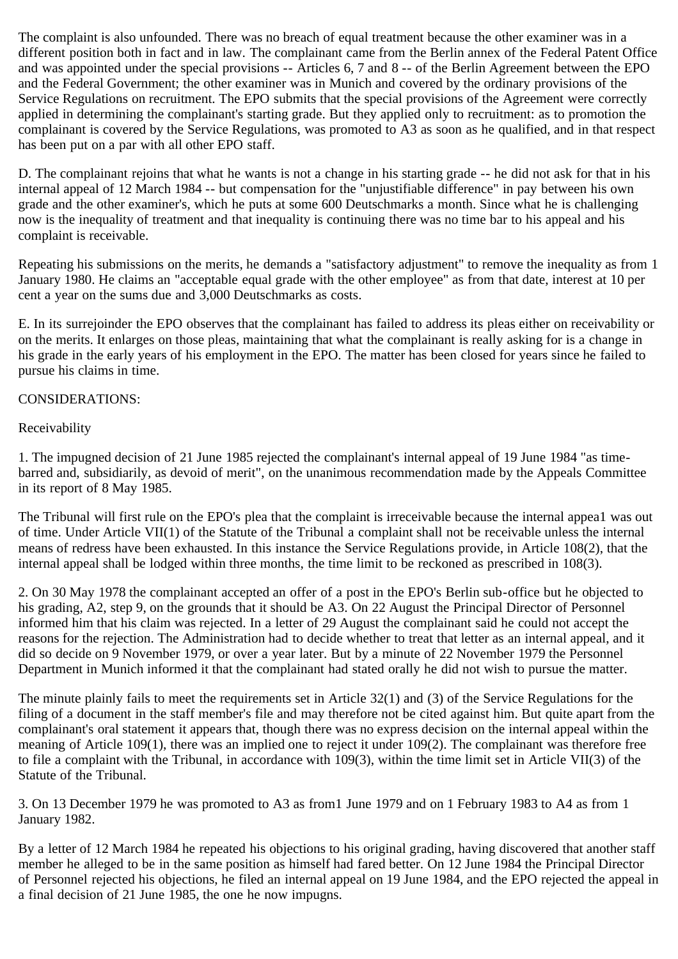The complaint is also unfounded. There was no breach of equal treatment because the other examiner was in a different position both in fact and in law. The complainant came from the Berlin annex of the Federal Patent Office and was appointed under the special provisions -- Articles 6, 7 and 8 -- of the Berlin Agreement between the EPO and the Federal Government; the other examiner was in Munich and covered by the ordinary provisions of the Service Regulations on recruitment. The EPO submits that the special provisions of the Agreement were correctly applied in determining the complainant's starting grade. But they applied only to recruitment: as to promotion the complainant is covered by the Service Regulations, was promoted to A3 as soon as he qualified, and in that respect has been put on a par with all other EPO staff.

D. The complainant rejoins that what he wants is not a change in his starting grade -- he did not ask for that in his internal appeal of 12 March 1984 -- but compensation for the "unjustifiable difference" in pay between his own grade and the other examiner's, which he puts at some 600 Deutschmarks a month. Since what he is challenging now is the inequality of treatment and that inequality is continuing there was no time bar to his appeal and his complaint is receivable.

Repeating his submissions on the merits, he demands a "satisfactory adjustment" to remove the inequality as from 1 January 1980. He claims an "acceptable equal grade with the other employee" as from that date, interest at 10 per cent a year on the sums due and 3,000 Deutschmarks as costs.

E. In its surrejoinder the EPO observes that the complainant has failed to address its pleas either on receivability or on the merits. It enlarges on those pleas, maintaining that what the complainant is really asking for is a change in his grade in the early years of his employment in the EPO. The matter has been closed for years since he failed to pursue his claims in time.

## CONSIDERATIONS:

## Receivability

1. The impugned decision of 21 June 1985 rejected the complainant's internal appeal of 19 June 1984 "as timebarred and, subsidiarily, as devoid of merit", on the unanimous recommendation made by the Appeals Committee in its report of 8 May 1985.

The Tribunal will first rule on the EPO's plea that the complaint is irreceivable because the internal appea1 was out of time. Under Article VII(1) of the Statute of the Tribunal a complaint shall not be receivable unless the internal means of redress have been exhausted. In this instance the Service Regulations provide, in Article 108(2), that the internal appeal shall be lodged within three months, the time limit to be reckoned as prescribed in 108(3).

2. On 30 May 1978 the complainant accepted an offer of a post in the EPO's Berlin sub-office but he objected to his grading, A2, step 9, on the grounds that it should be A3. On 22 August the Principal Director of Personnel informed him that his claim was rejected. In a letter of 29 August the complainant said he could not accept the reasons for the rejection. The Administration had to decide whether to treat that letter as an internal appeal, and it did so decide on 9 November 1979, or over a year later. But by a minute of 22 November 1979 the Personnel Department in Munich informed it that the complainant had stated orally he did not wish to pursue the matter.

The minute plainly fails to meet the requirements set in Article 32(1) and (3) of the Service Regulations for the filing of a document in the staff member's file and may therefore not be cited against him. But quite apart from the complainant's oral statement it appears that, though there was no express decision on the internal appeal within the meaning of Article 109(1), there was an implied one to reject it under 109(2). The complainant was therefore free to file a complaint with the Tribunal, in accordance with 109(3), within the time limit set in Article VII(3) of the Statute of the Tribunal.

3. On 13 December 1979 he was promoted to A3 as from1 June 1979 and on 1 February 1983 to A4 as from 1 January 1982.

By a letter of 12 March 1984 he repeated his objections to his original grading, having discovered that another staff member he alleged to be in the same position as himself had fared better. On 12 June 1984 the Principal Director of Personnel rejected his objections, he filed an internal appeal on 19 June 1984, and the EPO rejected the appeal in a final decision of 21 June 1985, the one he now impugns.